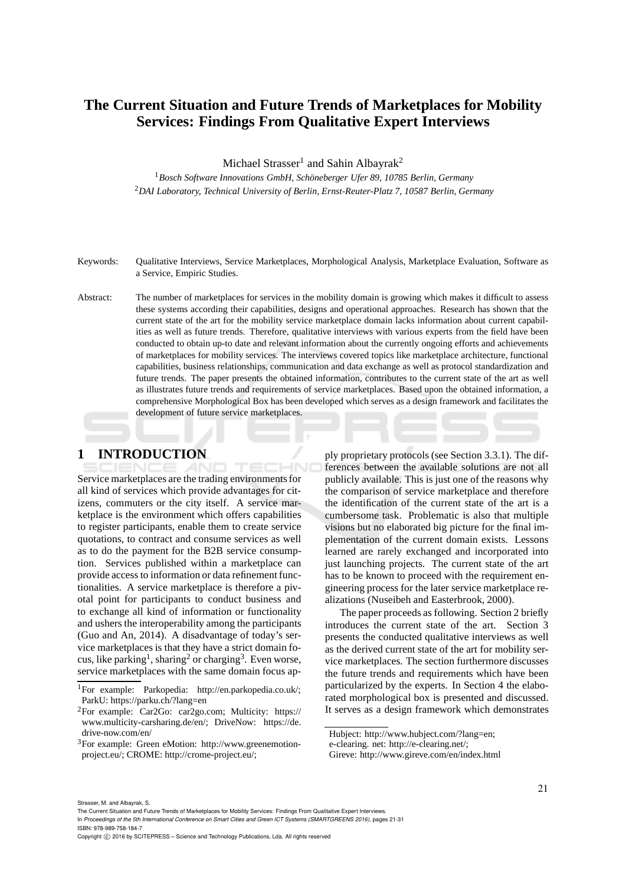# **The Current Situation and Future Trends of Marketplaces for Mobility Services: Findings From Qualitative Expert Interviews**

Michael Strasser<sup>1</sup> and Sahin Albayrak<sup>2</sup>

<sup>1</sup> Bosch Software Innovations GmbH, Schöneberger Ufer 89, 10785 Berlin, Germany <sup>2</sup>*DAI Laboratory, Technical University of Berlin, Ernst-Reuter-Platz 7, 10587 Berlin, Germany*

Keywords: Qualitative Interviews, Service Marketplaces, Morphological Analysis, Marketplace Evaluation, Software as a Service, Empiric Studies.

Abstract: The number of marketplaces for services in the mobility domain is growing which makes it difficult to assess these systems according their capabilities, designs and operational approaches. Research has shown that the current state of the art for the mobility service marketplace domain lacks information about current capabilities as well as future trends. Therefore, qualitative interviews with various experts from the field have been conducted to obtain up-to date and relevant information about the currently ongoing efforts and achievements of marketplaces for mobility services. The interviews covered topics like marketplace architecture, functional capabilities, business relationships, communication and data exchange as well as protocol standardization and future trends. The paper presents the obtained information, contributes to the current state of the art as well as illustrates future trends and requirements of service marketplaces. Based upon the obtained information, a comprehensive Morphological Box has been developed which serves as a design framework and facilitates the development of future service marketplaces.

## **1 INTRODUCTION**

Service marketplaces are the trading environments for all kind of services which provide advantages for citizens, commuters or the city itself. A service marketplace is the environment which offers capabilities to register participants, enable them to create service quotations, to contract and consume services as well as to do the payment for the B2B service consumption. Services published within a marketplace can provide access to information or data refinement functionalities. A service marketplace is therefore a pivotal point for participants to conduct business and to exchange all kind of information or functionality and ushers the interoperability among the participants (Guo and An, 2014). A disadvantage of today's service marketplaces is that they have a strict domain focus, like parking<sup>1</sup>, sharing<sup>2</sup> or charging<sup>3</sup>. Even worse, service marketplaces with the same domain focus ap-

ply proprietary protocols (see Section 3.3.1). The differences between the available solutions are not all publicly available. This is just one of the reasons why the comparison of service marketplace and therefore the identification of the current state of the art is a cumbersome task. Problematic is also that multiple visions but no elaborated big picture for the final implementation of the current domain exists. Lessons learned are rarely exchanged and incorporated into just launching projects. The current state of the art has to be known to proceed with the requirement engineering process for the later service marketplace realizations (Nuseibeh and Easterbrook, 2000).

The paper proceeds as following. Section 2 briefly introduces the current state of the art. Section 3 presents the conducted qualitative interviews as well as the derived current state of the art for mobility service marketplaces. The section furthermore discusses the future trends and requirements which have been particularized by the experts. In Section 4 the elaborated morphological box is presented and discussed. It serves as a design framework which demonstrates

Strasser, M. and Albayrak, S.

The Current Situation and Future Trends of Marketplaces for Mobility Services: Findings From Qualitative Expert Interviews.

In *Proceedings of the 5th International Conference on Smart Cities and Green ICT Systems (SMARTGREENS 2016)*, pages 21-31 ISBN: 978-989-758-184-7

<sup>1</sup>For example: Parkopedia: http://en.parkopedia.co.uk/; ParkU: https://parku.ch/?lang=en

<sup>2</sup>For example: Car2Go: car2go.com; Multicity: https:// www.multicity-carsharing.de/en/; DriveNow: https://de. drive-now.com/en/

<sup>3</sup>For example: Green eMotion: http://www.greenemotionproject.eu/; CROME: http://crome-project.eu/;

Hubject: http://www.hubject.com/?lang=en; e-clearing. net: http://e-clearing.net/; Gireve: http://www.gireve.com/en/index.html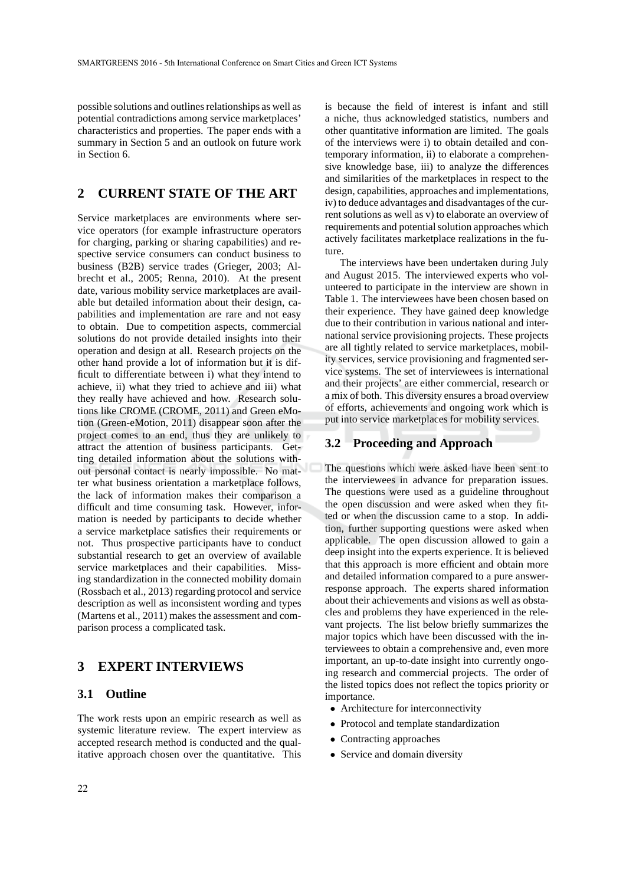possible solutions and outlines relationships as well as potential contradictions among service marketplaces' characteristics and properties. The paper ends with a summary in Section 5 and an outlook on future work in Section 6.

## **2 CURRENT STATE OF THE ART**

Service marketplaces are environments where service operators (for example infrastructure operators for charging, parking or sharing capabilities) and respective service consumers can conduct business to business (B2B) service trades (Grieger, 2003; Albrecht et al., 2005; Renna, 2010). At the present date, various mobility service marketplaces are available but detailed information about their design, capabilities and implementation are rare and not easy to obtain. Due to competition aspects, commercial solutions do not provide detailed insights into their operation and design at all. Research projects on the other hand provide a lot of information but it is difficult to differentiate between i) what they intend to achieve, ii) what they tried to achieve and iii) what they really have achieved and how. Research solutions like CROME (CROME, 2011) and Green eMotion (Green-eMotion, 2011) disappear soon after the project comes to an end, thus they are unlikely to attract the attention of business participants. Getting detailed information about the solutions without personal contact is nearly impossible. No matter what business orientation a marketplace follows, the lack of information makes their comparison a difficult and time consuming task. However, information is needed by participants to decide whether a service marketplace satisfies their requirements or not. Thus prospective participants have to conduct substantial research to get an overview of available service marketplaces and their capabilities. Missing standardization in the connected mobility domain (Rossbach et al., 2013) regarding protocol and service description as well as inconsistent wording and types (Martens et al., 2011) makes the assessment and comparison process a complicated task.

## **3 EXPERT INTERVIEWS**

#### **3.1 Outline**

The work rests upon an empiric research as well as systemic literature review. The expert interview as accepted research method is conducted and the qualitative approach chosen over the quantitative. This

is because the field of interest is infant and still a niche, thus acknowledged statistics, numbers and other quantitative information are limited. The goals of the interviews were i) to obtain detailed and contemporary information, ii) to elaborate a comprehensive knowledge base, iii) to analyze the differences and similarities of the marketplaces in respect to the design, capabilities, approaches and implementations, iv) to deduce advantages and disadvantages of the current solutions as well as v) to elaborate an overview of requirements and potential solution approaches which actively facilitates marketplace realizations in the future.

The interviews have been undertaken during July and August 2015. The interviewed experts who volunteered to participate in the interview are shown in Table 1. The interviewees have been chosen based on their experience. They have gained deep knowledge due to their contribution in various national and international service provisioning projects. These projects are all tightly related to service marketplaces, mobility services, service provisioning and fragmented service systems. The set of interviewees is international and their projects' are either commercial, research or a mix of both. This diversity ensures a broad overview of efforts, achievements and ongoing work which is put into service marketplaces for mobility services.

### **3.2 Proceeding and Approach**

The questions which were asked have been sent to the interviewees in advance for preparation issues. The questions were used as a guideline throughout the open discussion and were asked when they fitted or when the discussion came to a stop. In addition, further supporting questions were asked when applicable. The open discussion allowed to gain a deep insight into the experts experience. It is believed that this approach is more efficient and obtain more and detailed information compared to a pure answerresponse approach. The experts shared information about their achievements and visions as well as obstacles and problems they have experienced in the relevant projects. The list below briefly summarizes the major topics which have been discussed with the interviewees to obtain a comprehensive and, even more important, an up-to-date insight into currently ongoing research and commercial projects. The order of the listed topics does not reflect the topics priority or importance.

- Architecture for interconnectivity
- Protocol and template standardization
- Contracting approaches
- Service and domain diversity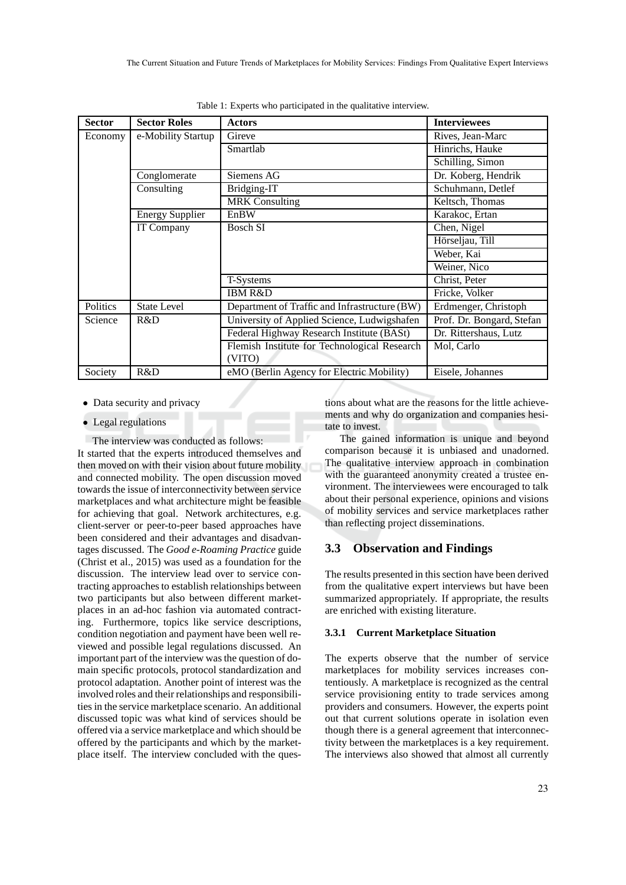| <b>Sector</b> | <b>Sector Roles</b>    | Actors                                                 | <b>Interviewees</b>       |  |
|---------------|------------------------|--------------------------------------------------------|---------------------------|--|
| Economy       | e-Mobility Startup     | Gireve                                                 | Rives, Jean-Marc          |  |
|               | Smartlab               |                                                        | Hinrichs, Hauke           |  |
|               |                        |                                                        | Schilling, Simon          |  |
|               | Conglomerate           | Dr. Koberg, Hendrik                                    |                           |  |
|               | Consulting             | Bridging-IT                                            | Schuhmann, Detlef         |  |
|               |                        | <b>MRK</b> Consulting                                  | Keltsch, Thomas           |  |
|               | <b>Energy Supplier</b> | EnBW                                                   | Karakoc, Ertan            |  |
|               | <b>IT Company</b>      | Bosch SI                                               | Chen, Nigel               |  |
|               |                        |                                                        | Hörseljau, Till           |  |
|               |                        |                                                        | Weber, Kai                |  |
|               |                        |                                                        | Weiner, Nico              |  |
|               |                        | T-Systems                                              | Christ, Peter             |  |
|               |                        | <b>IBM R&amp;D</b>                                     | Fricke, Volker            |  |
| Politics      | <b>State Level</b>     | Department of Traffic and Infrastructure (BW)          | Erdmenger, Christoph      |  |
| Science       | R&D                    | University of Applied Science, Ludwigshafen            | Prof. Dr. Bongard, Stefan |  |
|               |                        | Federal Highway Research Institute (BASt)              | Dr. Rittershaus, Lutz     |  |
|               |                        | Flemish Institute for Technological Research<br>(VITO) | Mol, Carlo                |  |
| Society       | R&D                    | eMO (Berlin Agency for Electric Mobility)              | Eisele, Johannes          |  |

Table 1: Experts who participated in the qualitative interview.

#### • Data security and privacy

### • Legal regulations

The interview was conducted as follows: It started that the experts introduced themselves and then moved on with their vision about future mobility and connected mobility. The open discussion moved towards the issue of interconnectivity between service marketplaces and what architecture might be feasible for achieving that goal. Network architectures, e.g. client-server or peer-to-peer based approaches have been considered and their advantages and disadvantages discussed. The *Good e-Roaming Practice* guide (Christ et al., 2015) was used as a foundation for the discussion. The interview lead over to service contracting approaches to establish relationships between two participants but also between different marketplaces in an ad-hoc fashion via automated contracting. Furthermore, topics like service descriptions, condition negotiation and payment have been well reviewed and possible legal regulations discussed. An important part of the interview was the question of domain specific protocols, protocol standardization and protocol adaptation. Another point of interest was the involved roles and their relationships and responsibilities in the service marketplace scenario. An additional discussed topic was what kind of services should be offered via a service marketplace and which should be offered by the participants and which by the marketplace itself. The interview concluded with the questions about what are the reasons for the little achievements and why do organization and companies hesitate to invest.

The gained information is unique and beyond comparison because it is unbiased and unadorned. The qualitative interview approach in combination with the guaranteed anonymity created a trustee environment. The interviewees were encouraged to talk about their personal experience, opinions and visions of mobility services and service marketplaces rather than reflecting project disseminations.

#### **3.3 Observation and Findings**

The results presented in this section have been derived from the qualitative expert interviews but have been summarized appropriately. If appropriate, the results are enriched with existing literature.

#### **3.3.1 Current Marketplace Situation**

The experts observe that the number of service marketplaces for mobility services increases contentiously. A marketplace is recognized as the central service provisioning entity to trade services among providers and consumers. However, the experts point out that current solutions operate in isolation even though there is a general agreement that interconnectivity between the marketplaces is a key requirement. The interviews also showed that almost all currently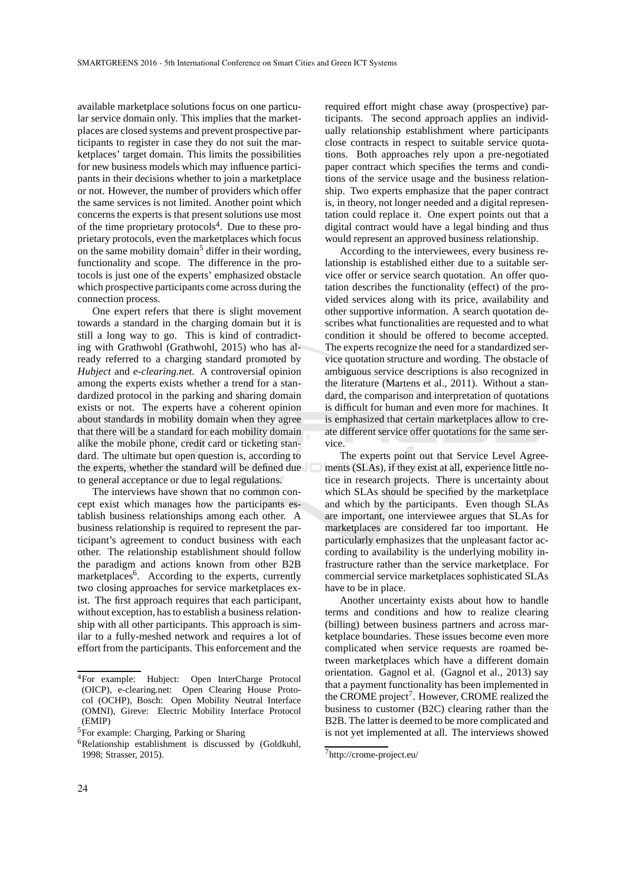available marketplace solutions focus on one particular service domain only. This implies that the marketplaces are closed systems and prevent prospective participants to register in case they do not suit the marketplaces' target domain. This limits the possibilities for new business models which may influence participants in their decisions whether to join a marketplace or not. However, the number of providers which offer the same services is not limited. Another point which concerns the experts is that present solutions use most of the time proprietary protocols<sup>4</sup>. Due to these proprietary protocols, even the marketplaces which focus on the same mobility domain<sup>5</sup> differ in their wording, functionality and scope. The difference in the protocols is just one of the experts' emphasized obstacle which prospective participants come across during the connection process.

One expert refers that there is slight movement towards a standard in the charging domain but it is still a long way to go. This is kind of contradicting with Grathwohl (Grathwohl, 2015) who has already referred to a charging standard promoted by *Hubject* and *e-clearing.net*. A controversial opinion among the experts exists whether a trend for a standardized protocol in the parking and sharing domain exists or not. The experts have a coherent opinion about standards in mobility domain when they agree that there will be a standard for each mobility domain alike the mobile phone, credit card or ticketing standard. The ultimate but open question is, according to the experts, whether the standard will be defined due to general acceptance or due to legal regulations.

The interviews have shown that no common concept exist which manages how the participants establish business relationships among each other. A business relationship is required to represent the participant's agreement to conduct business with each other. The relationship establishment should follow the paradigm and actions known from other B2B marketplaces<sup>6</sup>. According to the experts, currently two closing approaches for service marketplaces exist. The first approach requires that each participant, without exception, has to establish a business relationship with all other participants. This approach is similar to a fully-meshed network and requires a lot of effort from the participants. This enforcement and the required effort might chase away (prospective) participants. The second approach applies an individually relationship establishment where participants close contracts in respect to suitable service quotations. Both approaches rely upon a pre-negotiated paper contract which specifies the terms and conditions of the service usage and the business relationship. Two experts emphasize that the paper contract is, in theory, not longer needed and a digital representation could replace it. One expert points out that a digital contract would have a legal binding and thus would represent an approved business relationship.

According to the interviewees, every business relationship is established either due to a suitable service offer or service search quotation. An offer quotation describes the functionality (effect) of the provided services along with its price, availability and other supportive information. A search quotation describes what functionalities are requested and to what condition it should be offered to become accepted. The experts recognize the need for a standardized service quotation structure and wording. The obstacle of ambiguous service descriptions is also recognized in the literature (Martens et al., 2011). Without a standard, the comparison and interpretation of quotations is difficult for human and even more for machines. It is emphasized that certain marketplaces allow to create different service offer quotations for the same service.

The experts point out that Service Level Agreements (SLAs), if they exist at all, experience little notice in research projects. There is uncertainty about which SLAs should be specified by the marketplace and which by the participants. Even though SLAs are important, one interviewee argues that SLAs for marketplaces are considered far too important. He particularly emphasizes that the unpleasant factor according to availability is the underlying mobility infrastructure rather than the service marketplace. For commercial service marketplaces sophisticated SLAs have to be in place.

Another uncertainty exists about how to handle terms and conditions and how to realize clearing (billing) between business partners and across marketplace boundaries. These issues become even more complicated when service requests are roamed between marketplaces which have a different domain orientation. Gagnol et al. (Gagnol et al., 2013) say that a payment functionality has been implemented in the CROME project<sup>7</sup>. However, CROME realized the business to customer (B2C) clearing rather than the B2B. The latter is deemed to be more complicated and is not yet implemented at all. The interviews showed

<sup>4</sup>For example: Hubject: Open InterCharge Protocol (OICP), e-clearing.net: Open Clearing House Protocol (OCHP), Bosch: Open Mobility Neutral Interface (OMNI), Gireve: Electric Mobility Interface Protocol (EMIP)

<sup>5</sup>For example: Charging, Parking or Sharing

<sup>6</sup>Relationship establishment is discussed by (Goldkuhl, 1998; Strasser, 2015).

<sup>7</sup>http://crome-project.eu/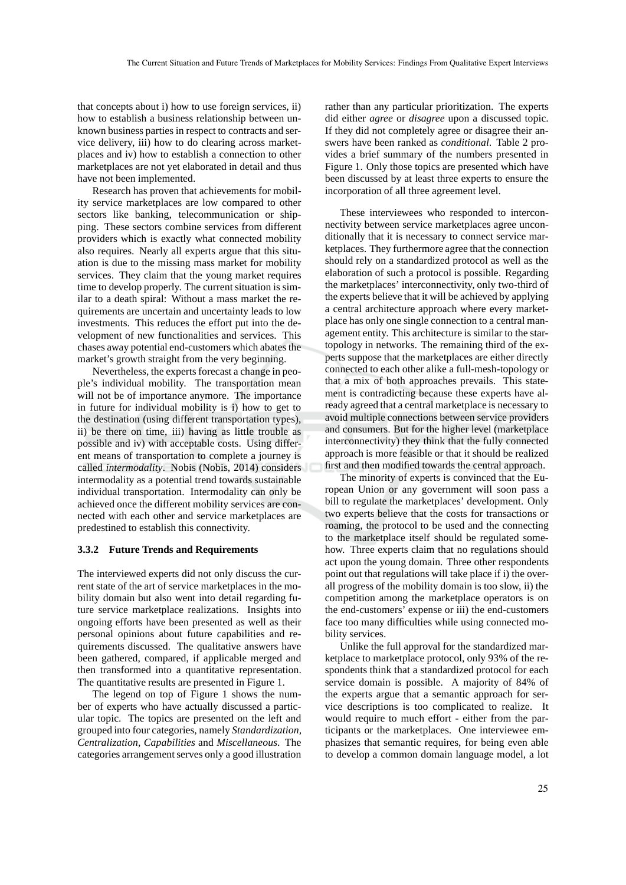that concepts about i) how to use foreign services, ii) how to establish a business relationship between unknown business parties in respect to contracts and service delivery, iii) how to do clearing across marketplaces and iv) how to establish a connection to other marketplaces are not yet elaborated in detail and thus have not been implemented.

Research has proven that achievements for mobility service marketplaces are low compared to other sectors like banking, telecommunication or shipping. These sectors combine services from different providers which is exactly what connected mobility also requires. Nearly all experts argue that this situation is due to the missing mass market for mobility services. They claim that the young market requires time to develop properly. The current situation is similar to a death spiral: Without a mass market the requirements are uncertain and uncertainty leads to low investments. This reduces the effort put into the development of new functionalities and services. This chases away potential end-customers which abates the market's growth straight from the very beginning.

Nevertheless, the experts forecast a change in people's individual mobility. The transportation mean will not be of importance anymore. The importance in future for individual mobility is i) how to get to the destination (using different transportation types), ii) be there on time, iii) having as little trouble as possible and iv) with acceptable costs. Using different means of transportation to complete a journey is called *intermodality*. Nobis (Nobis, 2014) considers intermodality as a potential trend towards sustainable individual transportation. Intermodality can only be achieved once the different mobility services are connected with each other and service marketplaces are predestined to establish this connectivity.

#### **3.3.2 Future Trends and Requirements**

The interviewed experts did not only discuss the current state of the art of service marketplaces in the mobility domain but also went into detail regarding future service marketplace realizations. Insights into ongoing efforts have been presented as well as their personal opinions about future capabilities and requirements discussed. The qualitative answers have been gathered, compared, if applicable merged and then transformed into a quantitative representation. The quantitative results are presented in Figure 1.

The legend on top of Figure 1 shows the number of experts who have actually discussed a particular topic. The topics are presented on the left and grouped into four categories, namely *Standardization, Centralization, Capabilities* and *Miscellaneous*. The categories arrangement serves only a good illustration rather than any particular prioritization. The experts did either *agree* or *disagree* upon a discussed topic. If they did not completely agree or disagree their answers have been ranked as *conditional*. Table 2 provides a brief summary of the numbers presented in Figure 1. Only those topics are presented which have been discussed by at least three experts to ensure the incorporation of all three agreement level.

These interviewees who responded to interconnectivity between service marketplaces agree unconditionally that it is necessary to connect service marketplaces. They furthermore agree that the connection should rely on a standardized protocol as well as the elaboration of such a protocol is possible. Regarding the marketplaces' interconnectivity, only two-third of the experts believe that it will be achieved by applying a central architecture approach where every marketplace has only one single connection to a central management entity. This architecture is similar to the startopology in networks. The remaining third of the experts suppose that the marketplaces are either directly connected to each other alike a full-mesh-topology or that a mix of both approaches prevails. This statement is contradicting because these experts have already agreed that a central marketplace is necessary to avoid multiple connections between service providers and consumers. But for the higher level (marketplace interconnectivity) they think that the fully connected approach is more feasible or that it should be realized first and then modified towards the central approach.

The minority of experts is convinced that the European Union or any government will soon pass a bill to regulate the marketplaces' development. Only two experts believe that the costs for transactions or roaming, the protocol to be used and the connecting to the marketplace itself should be regulated somehow. Three experts claim that no regulations should act upon the young domain. Three other respondents point out that regulations will take place if i) the overall progress of the mobility domain is too slow, ii) the competition among the marketplace operators is on the end-customers' expense or iii) the end-customers face too many difficulties while using connected mobility services.

Unlike the full approval for the standardized marketplace to marketplace protocol, only 93% of the respondents think that a standardized protocol for each service domain is possible. A majority of 84% of the experts argue that a semantic approach for service descriptions is too complicated to realize. It would require to much effort - either from the participants or the marketplaces. One interviewee emphasizes that semantic requires, for being even able to develop a common domain language model, a lot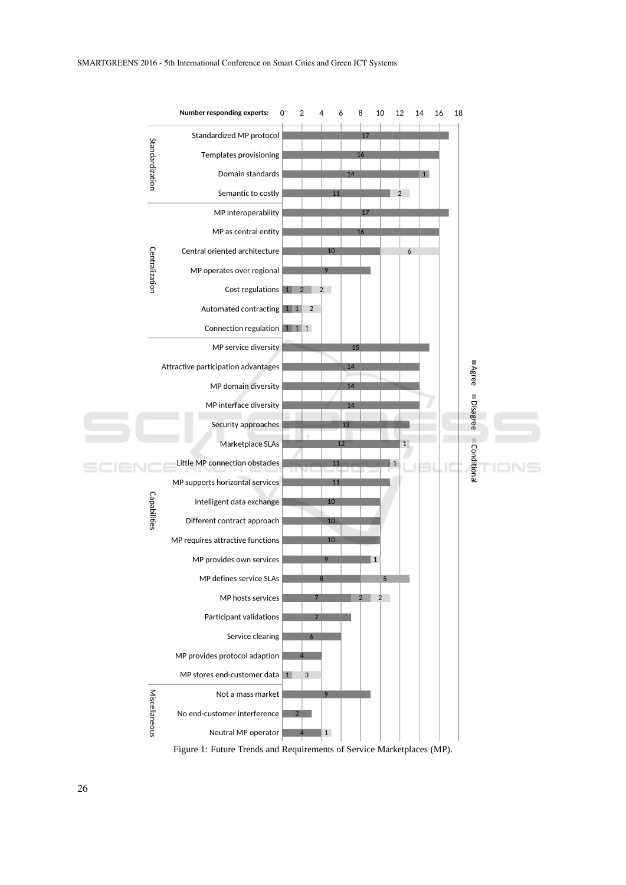

Figure 1: Future Trends and Requirements of Service Marketplaces (MP).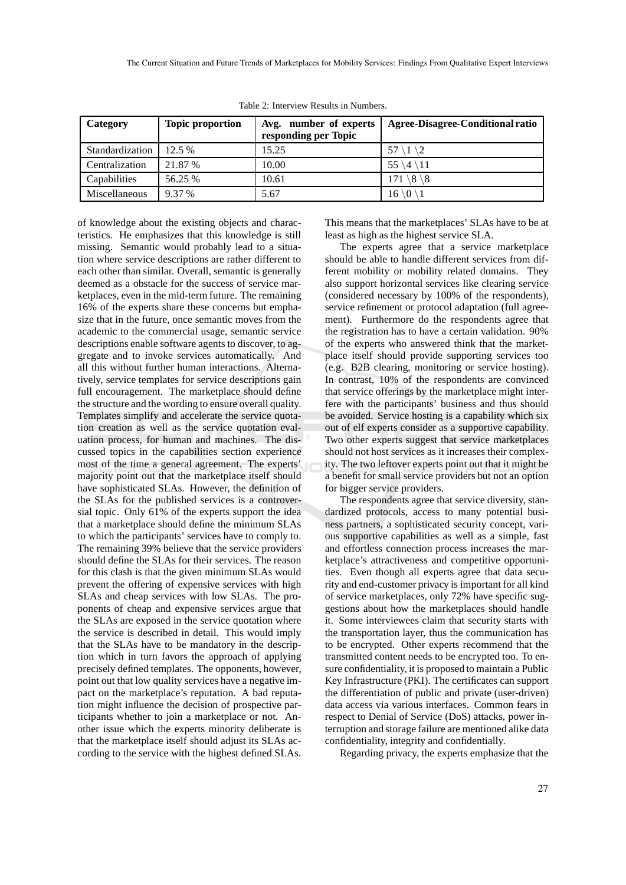| Category        | <b>Topic proportion</b> | Avg. number of experts<br>responding per Topic | Agree-Disagree-Conditional ratio |
|-----------------|-------------------------|------------------------------------------------|----------------------------------|
| Standardization | 12.5 %                  | 15.25                                          | 57 \1 \2                         |
| Centralization  | 21.87 %                 | 10.00                                          | 55 \4 \11                        |
| Capabilities    | 56.25 %                 | 10.61                                          | $171 \setminus 8 \setminus 8$    |
| Miscellaneous   | 9.37 %                  | 5.67                                           | $16 \setminus 0 \setminus 1$     |

Table 2: Interview Results in Numbers.

of knowledge about the existing objects and characteristics. He emphasizes that this knowledge is still missing. Semantic would probably lead to a situation where service descriptions are rather different to each other than similar. Overall, semantic is generally deemed as a obstacle for the success of service marketplaces, even in the mid-term future. The remaining 16% of the experts share these concerns but emphasize that in the future, once semantic moves from the academic to the commercial usage, semantic service descriptions enable software agents to discover, to aggregate and to invoke services automatically. And all this without further human interactions. Alternatively, service templates for service descriptions gain full encouragement. The marketplace should define the structure and the wording to ensure overall quality. Templates simplify and accelerate the service quotation creation as well as the service quotation evaluation process, for human and machines. The discussed topics in the capabilities section experience most of the time a general agreement. The experts' majority point out that the marketplace itself should have sophisticated SLAs. However, the definition of the SLAs for the published services is a controversial topic. Only 61% of the experts support the idea that a marketplace should define the minimum SLAs to which the participants' services have to comply to. The remaining 39% believe that the service providers should define the SLAs for their services. The reason for this clash is that the given minimum SLAs would prevent the offering of expensive services with high SLAs and cheap services with low SLAs. The proponents of cheap and expensive services argue that the SLAs are exposed in the service quotation where the service is described in detail. This would imply that the SLAs have to be mandatory in the description which in turn favors the approach of applying precisely defined templates. The opponents, however, point out that low quality services have a negative impact on the marketplace's reputation. A bad reputation might influence the decision of prospective participants whether to join a marketplace or not. Another issue which the experts minority deliberate is that the marketplace itself should adjust its SLAs according to the service with the highest defined SLAs.

This means that the marketplaces' SLAs have to be at least as high as the highest service SLA.

The experts agree that a service marketplace should be able to handle different services from different mobility or mobility related domains. They also support horizontal services like clearing service (considered necessary by 100% of the respondents), service refinement or protocol adaptation (full agreement). Furthermore do the respondents agree that the registration has to have a certain validation. 90% of the experts who answered think that the marketplace itself should provide supporting services too (e.g. B2B clearing, monitoring or service hosting). In contrast, 10% of the respondents are convinced that service offerings by the marketplace might interfere with the participants' business and thus should be avoided. Service hosting is a capability which six out of elf experts consider as a supportive capability. Two other experts suggest that service marketplaces should not host services as it increases their complexity. The two leftover experts point out that it might be a benefit for small service providers but not an option for bigger service providers.

The respondents agree that service diversity, standardized protocols, access to many potential business partners, a sophisticated security concept, various supportive capabilities as well as a simple, fast and effortless connection process increases the marketplace's attractiveness and competitive opportunities. Even though all experts agree that data security and end-customer privacy is important for all kind of service marketplaces, only 72% have specific suggestions about how the marketplaces should handle it. Some interviewees claim that security starts with the transportation layer, thus the communication has to be encrypted. Other experts recommend that the transmitted content needs to be encrypted too. To ensure confidentiality, it is proposed to maintain a Public Key Infrastructure (PKI). The certificates can support the differentiation of public and private (user-driven) data access via various interfaces. Common fears in respect to Denial of Service (DoS) attacks, power interruption and storage failure are mentioned alike data confidentiality, integrity and confidentially.

Regarding privacy, the experts emphasize that the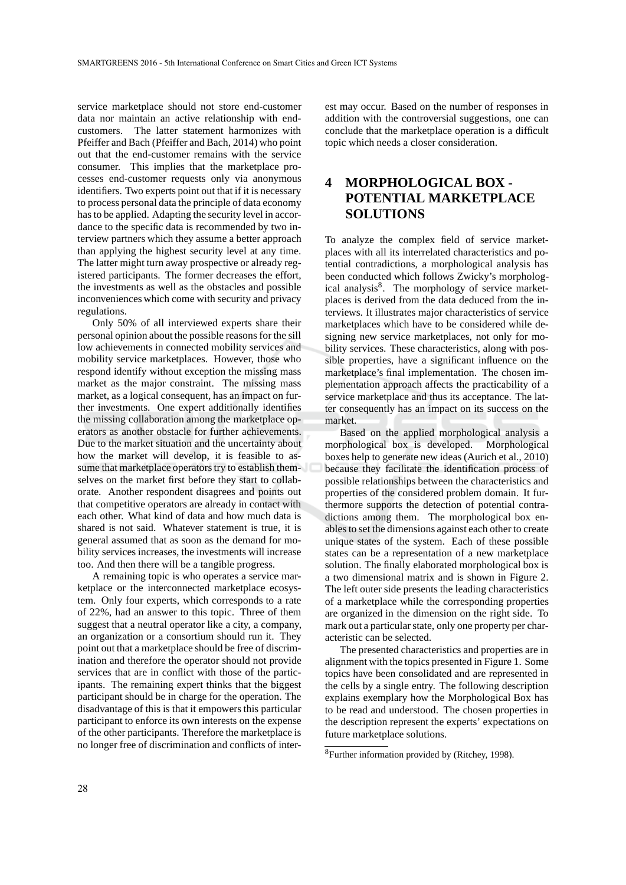service marketplace should not store end-customer data nor maintain an active relationship with endcustomers. The latter statement harmonizes with Pfeiffer and Bach (Pfeiffer and Bach, 2014) who point out that the end-customer remains with the service consumer. This implies that the marketplace processes end-customer requests only via anonymous identifiers. Two experts point out that if it is necessary to process personal data the principle of data economy has to be applied. Adapting the security level in accordance to the specific data is recommended by two interview partners which they assume a better approach than applying the highest security level at any time. The latter might turn away prospective or already registered participants. The former decreases the effort, the investments as well as the obstacles and possible inconveniences which come with security and privacy regulations.

Only 50% of all interviewed experts share their personal opinion about the possible reasons for the sill low achievements in connected mobility services and mobility service marketplaces. However, those who respond identify without exception the missing mass market as the major constraint. The missing mass market, as a logical consequent, has an impact on further investments. One expert additionally identifies the missing collaboration among the marketplace operators as another obstacle for further achievements. Due to the market situation and the uncertainty about how the market will develop, it is feasible to assume that marketplace operators try to establish themselves on the market first before they start to collaborate. Another respondent disagrees and points out that competitive operators are already in contact with each other. What kind of data and how much data is shared is not said. Whatever statement is true, it is general assumed that as soon as the demand for mobility services increases, the investments will increase too. And then there will be a tangible progress.

A remaining topic is who operates a service marketplace or the interconnected marketplace ecosystem. Only four experts, which corresponds to a rate of 22%, had an answer to this topic. Three of them suggest that a neutral operator like a city, a company, an organization or a consortium should run it. They point out that a marketplace should be free of discrimination and therefore the operator should not provide services that are in conflict with those of the participants. The remaining expert thinks that the biggest participant should be in charge for the operation. The disadvantage of this is that it empowers this particular participant to enforce its own interests on the expense of the other participants. Therefore the marketplace is no longer free of discrimination and conflicts of interest may occur. Based on the number of responses in addition with the controversial suggestions, one can conclude that the marketplace operation is a difficult topic which needs a closer consideration.

## **4 MORPHOLOGICAL BOX - POTENTIAL MARKETPLACE SOLUTIONS**

To analyze the complex field of service marketplaces with all its interrelated characteristics and potential contradictions, a morphological analysis has been conducted which follows Zwicky's morphological analysis<sup>8</sup>. The morphology of service marketplaces is derived from the data deduced from the interviews. It illustrates major characteristics of service marketplaces which have to be considered while designing new service marketplaces, not only for mobility services. These characteristics, along with possible properties, have a significant influence on the marketplace's final implementation. The chosen implementation approach affects the practicability of a service marketplace and thus its acceptance. The latter consequently has an impact on its success on the market.

Based on the applied morphological analysis a morphological box is developed. Morphological boxes help to generate new ideas (Aurich et al., 2010) because they facilitate the identification process of possible relationships between the characteristics and properties of the considered problem domain. It furthermore supports the detection of potential contradictions among them. The morphological box enables to set the dimensions against each other to create unique states of the system. Each of these possible states can be a representation of a new marketplace solution. The finally elaborated morphological box is a two dimensional matrix and is shown in Figure 2. The left outer side presents the leading characteristics of a marketplace while the corresponding properties are organized in the dimension on the right side. To mark out a particular state, only one property per characteristic can be selected.

The presented characteristics and properties are in alignment with the topics presented in Figure 1. Some topics have been consolidated and are represented in the cells by a single entry. The following description explains exemplary how the Morphological Box has to be read and understood. The chosen properties in the description represent the experts' expectations on future marketplace solutions.

<sup>8</sup>Further information provided by (Ritchey, 1998).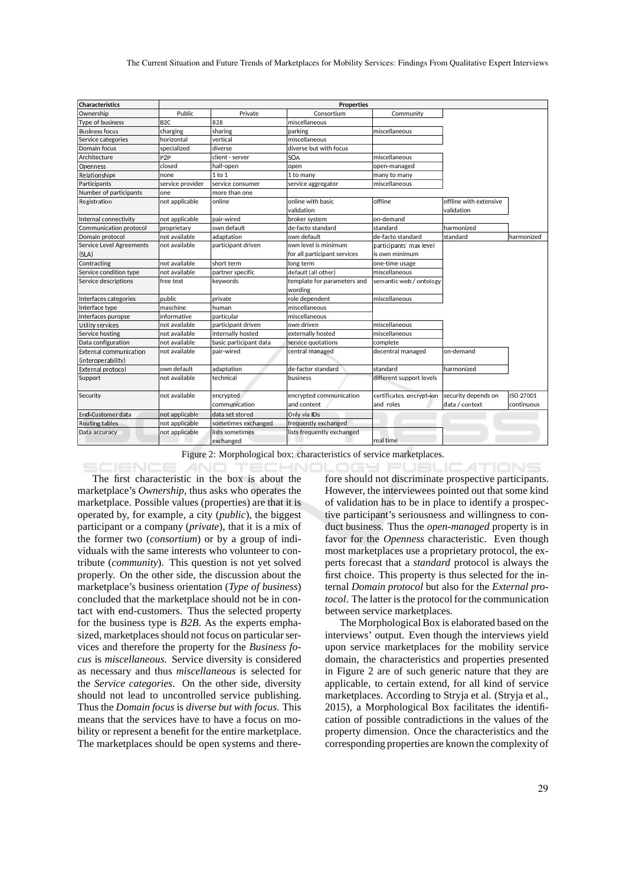| <b>Characteristics</b>          | <b>Properties</b> |                        |                              |                           |                        |            |
|---------------------------------|-------------------|------------------------|------------------------------|---------------------------|------------------------|------------|
| Ownership                       | Public            | Private                | Consortium                   | Community                 |                        |            |
| Type of business                | B <sub>2</sub> C  | B <sub>2B</sub>        | miscellaneous                |                           |                        |            |
| <b>Business focus</b>           | charging          | sharing                | parking                      | miscellaneous             |                        |            |
| Service categories              | horizontal        | vertical               | miscellaneous                |                           |                        |            |
| Domain focus                    | specialized       | diverse                | diverse but with focus       |                           |                        |            |
| Architecture                    | P <sub>2</sub> P  | client - server        | SOA                          | miscellaneous             |                        |            |
| Openness                        | closed            | half-open              | open                         | open-managed              |                        |            |
| Relationships                   | none              | $1$ to $1$             | 1 to many                    | many to many              |                        |            |
| Participants                    | service provider  | service consumer       | service aggregator           | miscellaneous             |                        |            |
| Number of participants          | one               | more than one          |                              |                           |                        |            |
| Registration                    | not applicable    | online                 | online with basic            | offline                   | offline with extensive |            |
|                                 |                   |                        | validation                   |                           | validation             |            |
| Internal connectivity           | not applicable    | pair-wired             | broker system                | on-demand                 |                        |            |
| Communication protocol          | proprietary       | own default            | de-facto standard            | standard                  | harmonized             |            |
| Domain protocol                 | not available     | adaptation             | own default                  | de-facto standard         | standard               | harmonized |
| <b>Service Level Agreements</b> | not available     | participant driven     | own level is minimum         | participants' max level   |                        |            |
| (SLA)                           |                   |                        | for all participant services | is own minimum            |                        |            |
| Contracting                     | not available     | short term             | long term                    | one-time usage            |                        |            |
| Service condition type          | not available     | partner specific       | default (all other)          | miscellaneous             |                        |            |
| Service descriptions            | free text         | keywords               | template for parameters and  | semantic web / ontology   |                        |            |
|                                 |                   |                        | wording                      |                           |                        |            |
| Interfaces categories           | public            | private                | role dependent               | miscellaneous             |                        |            |
| Interface type                  | maschine          | human                  | miscellaneous                |                           |                        |            |
| Interfaces puropse              | informative       | particular             | miscellaneous                |                           |                        |            |
| Utility services                | not available     | participant driven     | own driven                   | miscellaneous             |                        |            |
| Service hosting                 | not available     | internally hosted      | externally hosted            | miscellaneous             |                        |            |
| Data configuration              | not available     | basic participant data | service quotations           | complete                  |                        |            |
| External communication          | not available     | pair-wired             | central managed              | decentral managed         | on-demand              |            |
| (interoperability)              |                   |                        |                              |                           |                        |            |
| External protocol               | own default       | adaptation             | de-factor standard           | standard                  | harmonized             |            |
| Support                         | not available     | technical              | business                     | different support levels  |                        |            |
| Security                        | not available     | encrypted              | encrypted communication      | certificates, encrypt-ion | security depends on    | ISO 27001  |
|                                 |                   | communication          | and content                  | and roles                 | data / context         | continuous |
| <b>End-Customer data</b>        | not applicable    | data set stored        | Only via IDs                 |                           |                        |            |
| Routing tables                  | not applicable    | sometimes exchanged    | frequently exchanged         |                           |                        |            |
| Data accuracy                   | not applicable    | lists sometimes        | lists frequently exchanged   |                           |                        |            |
|                                 |                   | exchanged              |                              | real time                 |                        |            |

Figure 2: Morphological box: characteristics of service marketplaces.

ANE The first characteristic in the box is about the marketplace's *Ownership*, thus asks who operates the marketplace. Possible values (properties) are that it is operated by, for example, a city (*public*), the biggest participant or a company (*private*), that it is a mix of the former two (*consortium*) or by a group of individuals with the same interests who volunteer to contribute (*community*). This question is not yet solved properly. On the other side, the discussion about the marketplace's business orientation (*Type of business*) concluded that the marketplace should not be in contact with end-customers. Thus the selected property for the business type is *B2B*. As the experts emphasized, marketplaces should not focus on particular services and therefore the property for the *Business focus* is *miscellaneous*. Service diversity is considered as necessary and thus *miscellaneous* is selected for the *Service categories*. On the other side, diversity should not lead to uncontrolled service publishing. Thus the *Domain focus* is *diverse but with focus*. This means that the services have to have a focus on mobility or represent a benefit for the entire marketplace. The marketplaces should be open systems and there-

**ZIENC** 

**CHNOL** OGY PUBLICATIONS fore should not discriminate prospective participants. However, the interviewees pointed out that some kind of validation has to be in place to identify a prospective participant's seriousness and willingness to conduct business. Thus the *open-managed* property is in favor for the *Openness* characteristic. Even though most marketplaces use a proprietary protocol, the experts forecast that a *standard* protocol is always the first choice. This property is thus selected for the internal *Domain protocol* but also for the *External protocol*. The latter is the protocol for the communication between service marketplaces.

> The Morphological Box is elaborated based on the interviews' output. Even though the interviews yield upon service marketplaces for the mobility service domain, the characteristics and properties presented in Figure 2 are of such generic nature that they are applicable, to certain extend, for all kind of service marketplaces. According to Stryja et al. (Stryja et al., 2015), a Morphological Box facilitates the identification of possible contradictions in the values of the property dimension. Once the characteristics and the corresponding properties are known the complexity of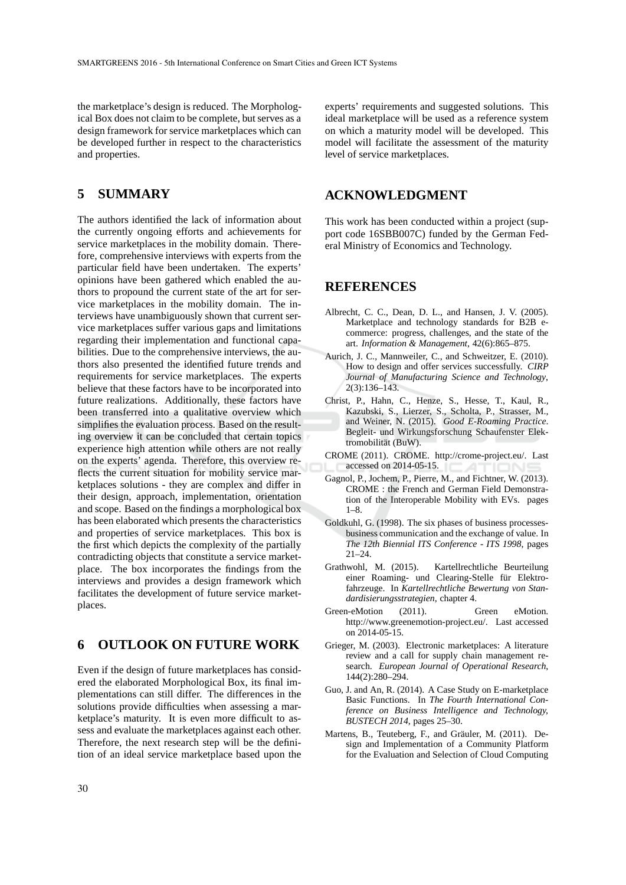the marketplace's design is reduced. The Morphological Box does not claim to be complete, but serves as a design framework for service marketplaces which can be developed further in respect to the characteristics and properties.

## **5 SUMMARY**

The authors identified the lack of information about the currently ongoing efforts and achievements for service marketplaces in the mobility domain. Therefore, comprehensive interviews with experts from the particular field have been undertaken. The experts' opinions have been gathered which enabled the authors to propound the current state of the art for service marketplaces in the mobility domain. The interviews have unambiguously shown that current service marketplaces suffer various gaps and limitations regarding their implementation and functional capabilities. Due to the comprehensive interviews, the authors also presented the identified future trends and requirements for service marketplaces. The experts believe that these factors have to be incorporated into future realizations. Additionally, these factors have been transferred into a qualitative overview which simplifies the evaluation process. Based on the resulting overview it can be concluded that certain topics experience high attention while others are not really on the experts' agenda. Therefore, this overview reflects the current situation for mobility service marketplaces solutions - they are complex and differ in their design, approach, implementation, orientation and scope. Based on the findings a morphological box has been elaborated which presents the characteristics and properties of service marketplaces. This box is the first which depicts the complexity of the partially contradicting objects that constitute a service marketplace. The box incorporates the findings from the interviews and provides a design framework which facilitates the development of future service marketplaces.

### **6 OUTLOOK ON FUTURE WORK**

Even if the design of future marketplaces has considered the elaborated Morphological Box, its final implementations can still differ. The differences in the solutions provide difficulties when assessing a marketplace's maturity. It is even more difficult to assess and evaluate the marketplaces against each other. Therefore, the next research step will be the definition of an ideal service marketplace based upon the experts' requirements and suggested solutions. This ideal marketplace will be used as a reference system on which a maturity model will be developed. This model will facilitate the assessment of the maturity level of service marketplaces.

### **ACKNOWLEDGMENT**

This work has been conducted within a project (support code 16SBB007C) funded by the German Federal Ministry of Economics and Technology.

### **REFERENCES**

- Albrecht, C. C., Dean, D. L., and Hansen, J. V. (2005). Marketplace and technology standards for B2B ecommerce: progress, challenges, and the state of the art. *Information & Management*, 42(6):865–875.
- Aurich, J. C., Mannweiler, C., and Schweitzer, E. (2010). How to design and offer services successfully. *CIRP Journal of Manufacturing Science and Technology*, 2(3):136–143.
- Christ, P., Hahn, C., Henze, S., Hesse, T., Kaul, R., Kazubski, S., Lierzer, S., Scholta, P., Strasser, M., and Weiner, N. (2015). *Good E-Roaming Practice*. Begleit- und Wirkungsforschung Schaufenster Elektromobilität (BuW).
- CROME (2011). CROME. http://crome-project.eu/. Last accessed on 2014-05-15.
- Gagnol, P., Jochem, P., Pierre, M., and Fichtner, W. (2013). CROME : the French and German Field Demonstration of the Interoperable Mobility with EVs. pages 1–8.
- Goldkuhl, G. (1998). The six phases of business processesbusiness communication and the exchange of value. In *The 12th Biennial ITS Conference - ITS 1998*, pages 21–24.
- Grathwohl, M. (2015). Kartellrechtliche Beurteilung einer Roaming- und Clearing-Stelle für Elektrofahrzeuge. In *Kartellrechtliche Bewertung von Standardisierungsstrategien*, chapter 4.
- Green-eMotion (2011). Green eMotion. http://www.greenemotion-project.eu/. Last accessed on 2014-05-15.
- Grieger, M. (2003). Electronic marketplaces: A literature review and a call for supply chain management research. *European Journal of Operational Research*, 144(2):280–294.
- Guo, J. and An, R. (2014). A Case Study on E-marketplace Basic Functions. In *The Fourth International Conference on Business Intelligence and Technology, BUSTECH 2014*, pages 25–30.
- Martens, B., Teuteberg, F., and Gräuler, M. (2011). Design and Implementation of a Community Platform for the Evaluation and Selection of Cloud Computing